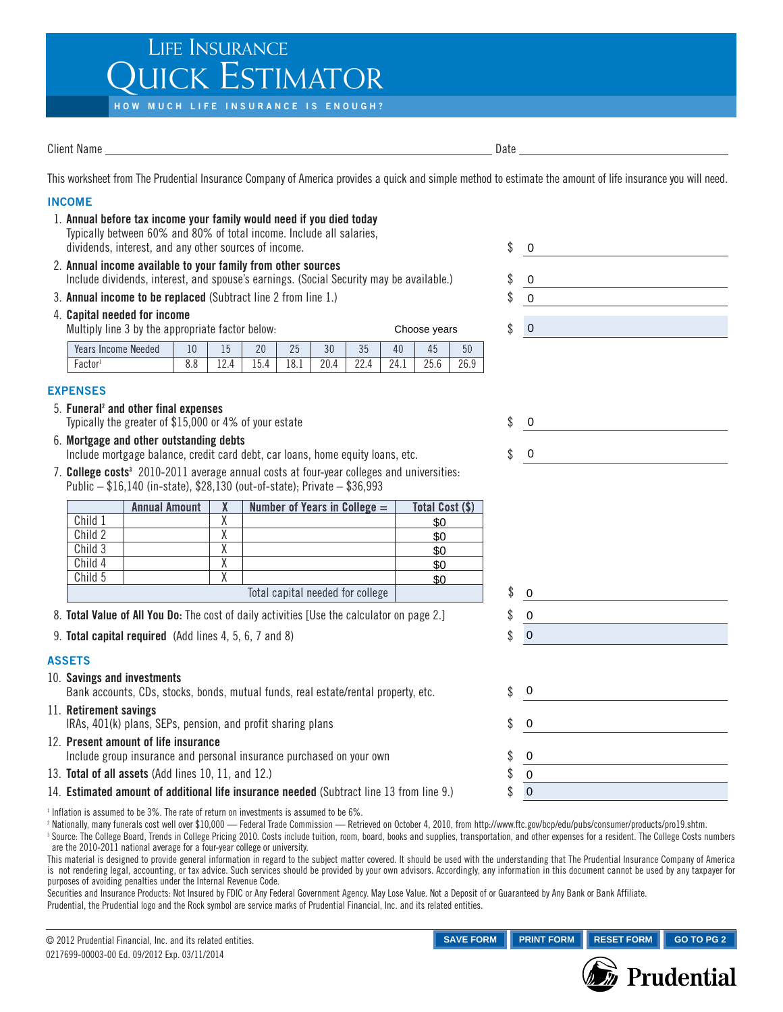## LIFE INSURANCE **JICK ESTIMATOR**

**HOW MUCH LIFE INSURANCE IS ENOUGH?**

Client Name Date **Date** 

This worksheet from The Prudential Insurance Company of America provides a quick and simple method to estimate the amount of life insurance you will need.

## **INCOME** 1. Annual before tax income your family would need if you died today Typically between 60% and 80% of total income. Include all salaries, dividends, interest, and any other sources of income.  $\sim$ 0 2. Annual income available to your family from other sources Include dividends, interest, and spouse's earnings. (Social Security may be available.)  $\qquad$   $\qquad$ 0 3. **Annual income to be replaced** (Subtract line 2 from line 1.) 0 4. Capital needed for income Multiply line 3 by the appropriate factor below: Choose years  $\qquad \qquad$   $\qquad$  0 Years Income Needed | 10 | 15 | 20 | 25 | 30 | 35 | 40 | 45 | 50 Factor1 8.8 12.4 15.4 18.1 20.4 22.4 24.1 25.6 26.9 **EXPENSES** 5. Funeral<sup>2</sup> and other final expenses Typically the greater of  $$15,000$  or 4% of your estate  $$$  $\Omega$ 6. Mortgage and other outstanding debts 0 Include mortgage balance, credit card debt, car loans, home equity loans, etc.  $\$ 7. College costs<sup>3</sup> 2010-2011 average annual costs at four-year colleges and universities: Public – \$16,140 (in-state), \$28,130 (out-of-state); Private – \$36,993 Annual Amount  $\begin{array}{|c|c|c|c|c|}\n\hline\nX & \text{Number of Years in College} = \text{Total Cost ($)}\n\end{array}$ Child 1 X \$0 \$0<br>\$0<br>\$0<br>\$0<br>\$0 Child 2 X \$0 Child 3 X \$0 Child 4 X \$0 Child 5 X \$0 Total capital needed for college | with the state of the state of the state of the state of the state of the state of the state of the state of the state of the state of the state of the state of the state of the state of 0 8. **Total Value of All You Do:** The cost of daily activities [Use the calculator on page 2.]  $\$ 0 9. **Total capital required** (Add lines 4, 5, 6, 7 and 8)  $\text{\$}$ 0 **ASSETS** 10. Savings and investments 0 Bank accounts, CDs, stocks, bonds, mutual funds, real estate/rental property, etc.  $\$ 11. Retirement savings IRAs,  $401(k)$  plans, SEPs, pension, and profit sharing plans  $\$ 0 12. Present amount of life insurance Include group insurance and personal insurance purchased on your own 0 13. **Total of all assets** (Add lines 10, 11, and 12.)  $\qquad$   $\qquad$   $\qquad$   $\qquad$   $\qquad$   $\qquad$   $\qquad$   $\qquad$   $\qquad$   $\qquad$   $\qquad$   $\qquad$   $\qquad$   $\qquad$   $\qquad$   $\qquad$   $\qquad$   $\qquad$   $\qquad$   $\qquad$   $\qquad$   $\qquad$   $\qquad$   $\qquad$   $\qquad$   $\qquad$   $\qquad$   $\qquad$ 0 14. Estimated amount of additional life insurance needed (Subtract line 13 from line 9.) \$ 0 <sup>1</sup> Inflation is assumed to be 3%. The rate of return on investments is assumed to be 6%.

<sup>2</sup> Nationally, many funerals cost well over \$10,000 — Federal Trade Commission — Retrieved on October 4, 2010, from http://www.ftc.gov/bcp/edu/pubs/consumer/products/pro19.shtm.

<sup>3</sup> Source: The College Board, Trends in College Pricing 2010. Costs include tuition, room, board, books and supplies, transportation, and other expenses for a resident. The College Costs numbers are the 2010-2011 national average for a four-year college or university.

This material is designed to provide general information in regard to the subject matter covered. It should be used with the understanding that The Prudential Insurance Company of America is not rendering legal, accounting, or tax advice. Such services should be provided by your own advisors. Accordingly, any information in this document cannot be used by any taxpayer for purposes of avoiding penalties under the Internal Revenue Code.

Securities and Insurance Products: Not Insured by FDIC or Any Federal Government Agency. May Lose Value. Not a Deposit of or Guaranteed by Any Bank or Bank Affiliate. Prudential, the Prudential logo and the Rock symbol are service marks of Prudential Financial, Inc. and its related entities.